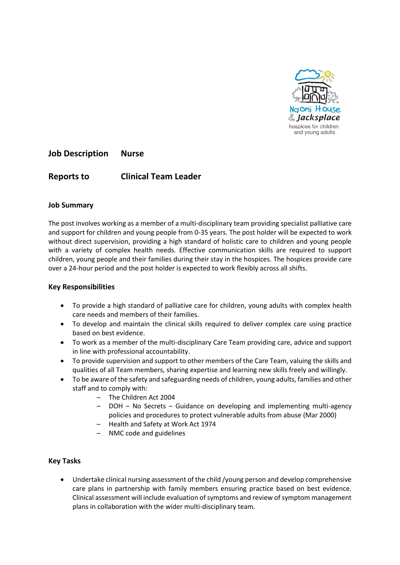

**Job Description Nurse**

## **Reports to Clinical Team Leader**

### **Job Summary**

The post involves working as a member of a multi-disciplinary team providing specialist palliative care and support for children and young people from 0-35 years. The post holder will be expected to work without direct supervision, providing a high standard of holistic care to children and young people with a variety of complex health needs. Effective communication skills are required to support children, young people and their families during their stay in the hospices. The hospices provide care over a 24-hour period and the post holder is expected to work flexibly across all shifts.

### **Key Responsibilities**

- To provide a high standard of palliative care for children, young adults with complex health care needs and members of their families.
- To develop and maintain the clinical skills required to deliver complex care using practice based on best evidence.
- To work as a member of the multi-disciplinary Care Team providing care, advice and support in line with professional accountability.
- To provide supervision and support to other members of the Care Team, valuing the skills and qualities of all Team members, sharing expertise and learning new skills freely and willingly.
- To be aware of the safety and safeguarding needs of children, young adults, families and other staff and to comply with:
	- The Children Act 2004
	- DOH No Secrets Guidance on developing and implementing multi-agency policies and procedures to protect vulnerable adults from abuse (Mar 2000)
	- Health and Safety at Work Act 1974
	- NMC code and guidelines

### **Key Tasks**

 Undertake clinical nursing assessment of the child /young person and develop comprehensive care plans in partnership with family members ensuring practice based on best evidence. Clinical assessment will include evaluation of symptoms and review of symptom management plans in collaboration with the wider multi-disciplinary team.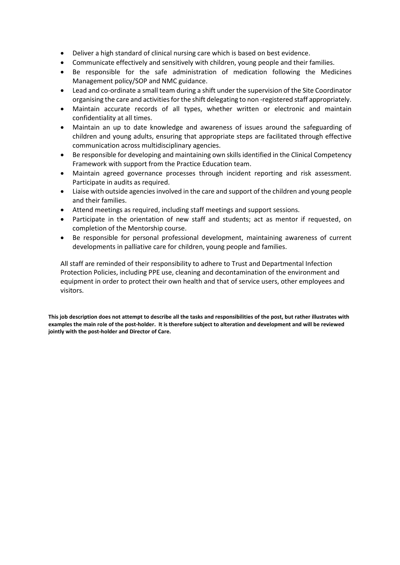- Deliver a high standard of clinical nursing care which is based on best evidence.
- Communicate effectively and sensitively with children, young people and their families.
- Be responsible for the safe administration of medication following the Medicines Management policy/SOP and NMC guidance.
- Lead and co-ordinate a small team during a shift under the supervision of the Site Coordinator organising the care and activities for the shift delegating to non -registered staff appropriately.
- Maintain accurate records of all types, whether written or electronic and maintain confidentiality at all times.
- Maintain an up to date knowledge and awareness of issues around the safeguarding of children and young adults, ensuring that appropriate steps are facilitated through effective communication across multidisciplinary agencies.
- Be responsible for developing and maintaining own skills identified in the Clinical Competency Framework with support from the Practice Education team.
- Maintain agreed governance processes through incident reporting and risk assessment. Participate in audits as required.
- Liaise with outside agencies involved in the care and support of the children and young people and their families.
- Attend meetings as required, including staff meetings and support sessions.
- Participate in the orientation of new staff and students; act as mentor if requested, on completion of the Mentorship course.
- Be responsible for personal professional development, maintaining awareness of current developments in palliative care for children, young people and families.

All staff are reminded of their responsibility to adhere to Trust and Departmental Infection Protection Policies, including PPE use, cleaning and decontamination of the environment and equipment in order to protect their own health and that of service users, other employees and visitors.

**This job description does not attempt to describe all the tasks and responsibilities of the post, but rather illustrates with examples the main role of the post-holder. It is therefore subject to alteration and development and will be reviewed jointly with the post-holder and Director of Care.**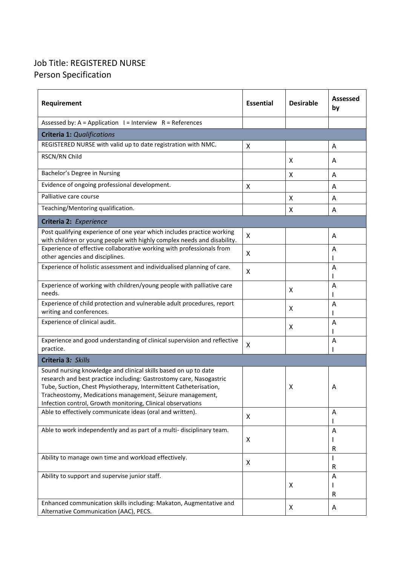# Job Title: REGISTERED NURSE Person Specification

| Requirement                                                                                                                                                                                                                                                                                                                             | <b>Essential</b> | <b>Desirable</b> | Assessed<br>by |  |
|-----------------------------------------------------------------------------------------------------------------------------------------------------------------------------------------------------------------------------------------------------------------------------------------------------------------------------------------|------------------|------------------|----------------|--|
| Assessed by: $A = Application I = Interview R = References$                                                                                                                                                                                                                                                                             |                  |                  |                |  |
| <b>Criteria 1: Qualifications</b>                                                                                                                                                                                                                                                                                                       |                  |                  |                |  |
| REGISTERED NURSE with valid up to date registration with NMC.                                                                                                                                                                                                                                                                           | X                |                  | A              |  |
| RSCN/RN Child                                                                                                                                                                                                                                                                                                                           |                  | X                | A              |  |
| Bachelor's Degree in Nursing                                                                                                                                                                                                                                                                                                            |                  | X                | A              |  |
| Evidence of ongoing professional development.                                                                                                                                                                                                                                                                                           | X                |                  | A              |  |
| Palliative care course                                                                                                                                                                                                                                                                                                                  |                  | X                | A              |  |
| Teaching/Mentoring qualification.                                                                                                                                                                                                                                                                                                       |                  | Χ                | A              |  |
| Criteria 2: Experience                                                                                                                                                                                                                                                                                                                  |                  |                  |                |  |
| Post qualifying experience of one year which includes practice working<br>with children or young people with highly complex needs and disability.                                                                                                                                                                                       | X                |                  | A              |  |
| Experience of effective collaborative working with professionals from<br>other agencies and disciplines.                                                                                                                                                                                                                                | X                |                  | A              |  |
| Experience of holistic assessment and individualised planning of care.                                                                                                                                                                                                                                                                  | X                |                  | A              |  |
| Experience of working with children/young people with palliative care<br>needs.                                                                                                                                                                                                                                                         |                  | X                | Α              |  |
| Experience of child protection and vulnerable adult procedures, report<br>writing and conferences.                                                                                                                                                                                                                                      |                  | X                | Α              |  |
| Experience of clinical audit.                                                                                                                                                                                                                                                                                                           |                  | X                | A              |  |
| Experience and good understanding of clinical supervision and reflective<br>practice.                                                                                                                                                                                                                                                   | X                |                  | A              |  |
| Criteria 3: Skills                                                                                                                                                                                                                                                                                                                      |                  |                  |                |  |
| Sound nursing knowledge and clinical skills based on up to date<br>research and best practice including: Gastrostomy care, Nasogastric<br>Tube, Suction, Chest Physiotherapy, Intermittent Catheterisation,<br>Tracheostomy, Medications management, Seizure management,<br>Infection control, Growth monitoring, Clinical observations |                  | X                | Α              |  |
| Able to effectively communicate ideas (oral and written).                                                                                                                                                                                                                                                                               | X                |                  | A              |  |
| Able to work independently and as part of a multi-disciplinary team.                                                                                                                                                                                                                                                                    | X                |                  | Α<br>R         |  |
| Ability to manage own time and workload effectively.                                                                                                                                                                                                                                                                                    | X                |                  | R              |  |
| Ability to support and supervise junior staff.                                                                                                                                                                                                                                                                                          |                  | X                | A<br>R         |  |
| Enhanced communication skills including: Makaton, Augmentative and<br>Alternative Communication (AAC), PECS.                                                                                                                                                                                                                            |                  | X                | Α              |  |